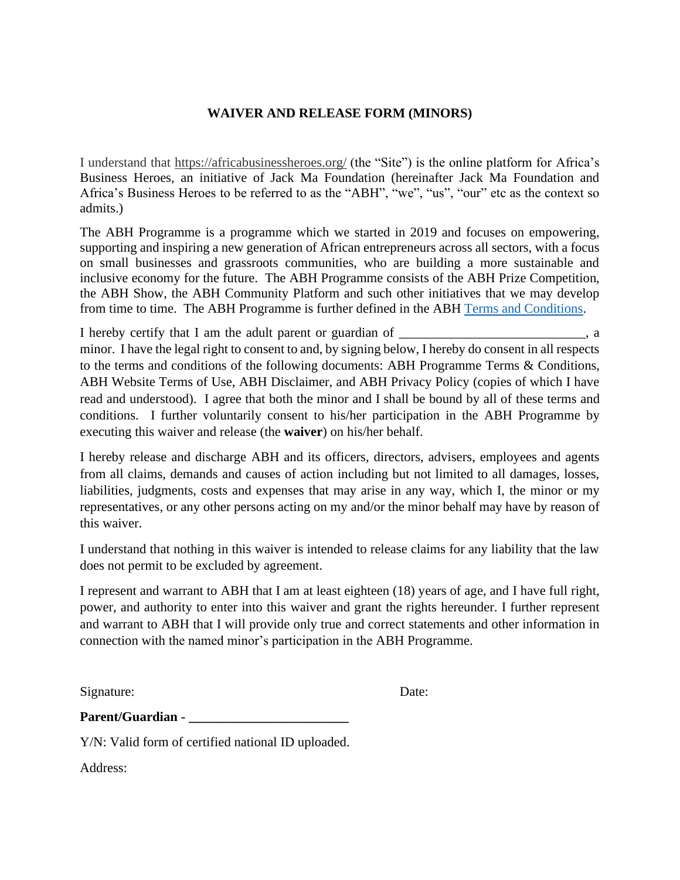## **WAIVER AND RELEASE FORM (MINORS)**

I understand that https://africabusinessheroes.org/ (the "Site") is the online platform for Africa's Business Heroes, an initiative of Jack Ma Foundation (hereinafter Jack Ma Foundation and Africa's Business Heroes to be referred to as the "ABH", "we", "us", "our" etc as the context so admits.)

The ABH Programme is a programme which we started in 2019 and focuses on empowering, supporting and inspiring a new generation of African entrepreneurs across all sectors, with a focus on small businesses and grassroots communities, who are building a more sustainable and inclusive economy for the future. The ABH Programme consists of the ABH Prize Competition, the ABH Show, the ABH Community Platform and such other initiatives that we may develop from time to time. The ABH Programme is further defined in the ABH [Terms and Conditions.](https://africabusinessheroes.org/en/terms-and-conditions)

I hereby certify that I am the adult parent or guardian of \_\_\_\_\_\_\_\_\_\_\_\_\_\_\_\_\_\_\_\_, a minor. I have the legal right to consent to and, by signing below, I hereby do consent in all respects to the terms and conditions of the following documents: ABH Programme Terms & Conditions, ABH Website Terms of Use, ABH Disclaimer, and ABH Privacy Policy (copies of which I have read and understood). I agree that both the minor and I shall be bound by all of these terms and conditions. I further voluntarily consent to his/her participation in the ABH Programme by executing this waiver and release (the **waiver**) on his/her behalf.

I hereby release and discharge ABH and its officers, directors, advisers, employees and agents from all claims, demands and causes of action including but not limited to all damages, losses, liabilities, judgments, costs and expenses that may arise in any way, which I, the minor or my representatives, or any other persons acting on my and/or the minor behalf may have by reason of this waiver.

I understand that nothing in this waiver is intended to release claims for any liability that the law does not permit to be excluded by agreement.

I represent and warrant to ABH that I am at least eighteen (18) years of age, and I have full right, power, and authority to enter into this waiver and grant the rights hereunder. I further represent and warrant to ABH that I will provide only true and correct statements and other information in connection with the named minor's participation in the ABH Programme.

Signature: Date:

| <b>Parent/Guardian -</b> |  |
|--------------------------|--|
|--------------------------|--|

Y/N: Valid form of certified national ID uploaded.

Address: